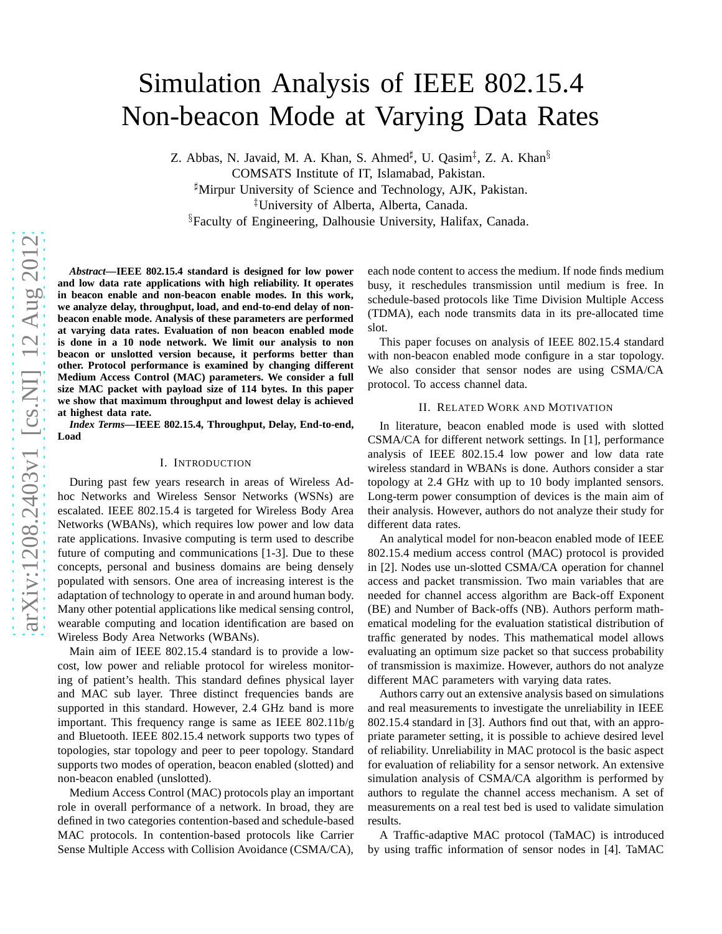# Simulation Analysis of IEEE 802.15.4 Non-beacon Mode at Varying Data Rates

Z. Abbas, N. Javaid, M. A. Khan, S. Ahmed $\sharp$ , U. Qasim $\sharp$ , Z. A. Khan $\S$ COMSATS Institute of IT, Islamabad, Pakistan. <sup>♯</sup>Mirpur University of Science and Technology, AJK, Pakistan. ‡University of Alberta, Alberta, Canada. §Faculty of Engineering, Dalhousie University, Halifax, Canada.

*Abstract***—IEEE 802.15.4 standard is designed for low power and low data rate applications with high reliability. It operates in beacon enable and non-beacon enable modes. In this work, we analyze delay, throughput, load, and end-to-end delay of nonbeacon enable mode. Analysis of these parameters are performed at varying data rates. Evaluation of non beacon enabled mode is done in a 10 node network. We limit our analysis to non beacon or unslotted version because, it performs better than other. Protocol performance is examined by changing different Medium Access Control (MAC) parameters. We consider a full size MAC packet with payload size of 114 bytes. In this paper we show that maximum throughput and lowest delay is achieved at highest data rate.**

*Index Terms***—IEEE 802.15.4, Throughput, Delay, End-to-end, Load**

#### I. INTRODUCTION

During past few years research in areas of Wireless Adhoc Networks and Wireless Sensor Networks (WSNs) are escalated. IEEE 802.15.4 is targeted for Wireless Body Area Networks (WBANs), which requires low power and low data rate applications. Invasive computing is term used to describe future of computing and communications [1-3]. Due to these concepts, personal and business domains are being densely populated with sensors. One area of increasing interest is the adaptation of technology to operate in and around human body. Many other potential applications like medical sensing control, wearable computing and location identification are based on Wireless Body Area Networks (WBANs).

Main aim of IEEE 802.15.4 standard is to provide a lowcost, low power and reliable protocol for wireless monitoring of patient's health. This standard defines physical layer and MAC sub layer. Three distinct frequencies bands are supported in this standard. However, 2.4 GHz band is more important. This frequency range is same as IEEE 802.11b/g and Bluetooth. IEEE 802.15.4 network supports two types of topologies, star topology and peer to peer topology. Standard supports two modes of operation, beacon enabled (slotted) and non-beacon enabled (unslotted).

Medium Access Control (MAC) protocols play an important role in overall performance of a network. In broad, they are defined in two categories contention-based and schedule-based MAC protocols. In contention-based protocols like Carrier Sense Multiple Access with Collision Avoidance (CSMA/CA), each node content to access the medium. If node finds medium busy, it reschedules transmission until medium is free. In schedule-based protocols like Time Division Multiple Access (TDMA), each node transmits data in its pre-allocated time slot.

This paper focuses on analysis of IEEE 802.15.4 standard with non-beacon enabled mode configure in a star topology. We also consider that sensor nodes are using CSMA/CA protocol. To access channel data.

## II. RELATED WORK AND MOTIVATION

In literature, beacon enabled mode is used with slotted CSMA/CA for different network settings. In [1], performance analysis of IEEE 802.15.4 low power and low data rate wireless standard in WBANs is done. Authors consider a star topology at 2.4 GHz with up to 10 body implanted sensors. Long-term power consumption of devices is the main aim of their analysis. However, authors do not analyze their study for different data rates.

An analytical model for non-beacon enabled mode of IEEE 802.15.4 medium access control (MAC) protocol is provided in [2]. Nodes use un-slotted CSMA/CA operation for channel access and packet transmission. Two main variables that are needed for channel access algorithm are Back-off Exponent (BE) and Number of Back-offs (NB). Authors perform mathematical modeling for the evaluation statistical distribution of traffic generated by nodes. This mathematical model allows evaluating an optimum size packet so that success probability of transmission is maximize. However, authors do not analyze different MAC parameters with varying data rates.

Authors carry out an extensive analysis based on simulations and real measurements to investigate the unreliability in IEEE 802.15.4 standard in [3]. Authors find out that, with an appropriate parameter setting, it is possible to achieve desired level of reliability. Unreliability in MAC protocol is the basic aspect for evaluation of reliability for a sensor network. An extensive simulation analysis of CSMA/CA algorithm is performed by authors to regulate the channel access mechanism. A set of measurements on a real test bed is used to validate simulation results.

A Traffic-adaptive MAC protocol (TaMAC) is introduced by using traffic information of sensor nodes in [4]. TaMAC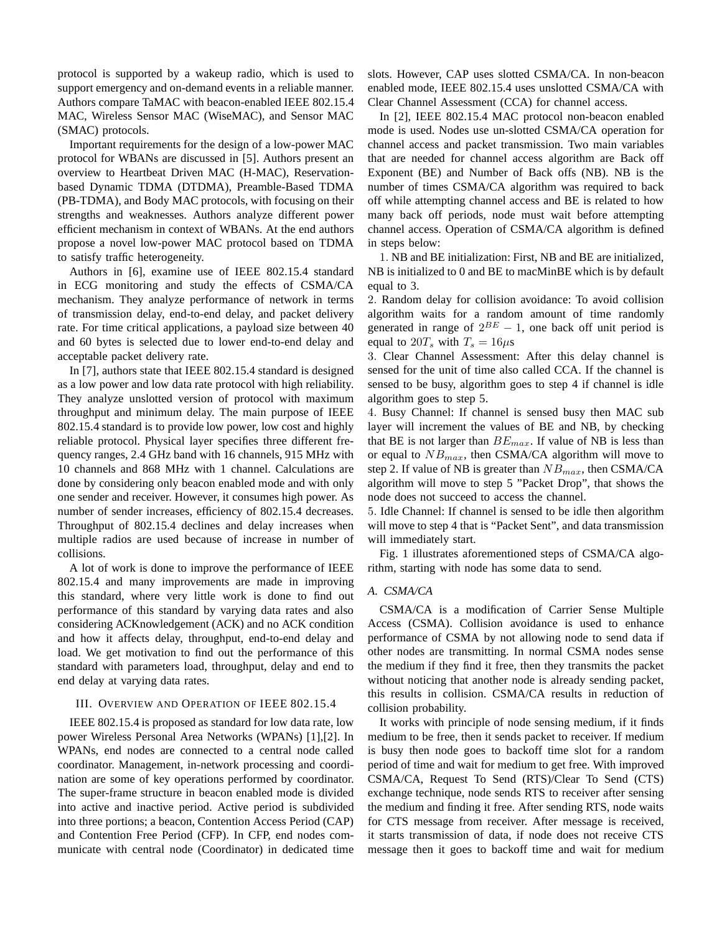protocol is supported by a wakeup radio, which is used to support emergency and on-demand events in a reliable manner. Authors compare TaMAC with beacon-enabled IEEE 802.15.4 MAC, Wireless Sensor MAC (WiseMAC), and Sensor MAC (SMAC) protocols.

Important requirements for the design of a low-power MAC protocol for WBANs are discussed in [5]. Authors present an overview to Heartbeat Driven MAC (H-MAC), Reservationbased Dynamic TDMA (DTDMA), Preamble-Based TDMA (PB-TDMA), and Body MAC protocols, with focusing on their strengths and weaknesses. Authors analyze different power efficient mechanism in context of WBANs. At the end authors propose a novel low-power MAC protocol based on TDMA to satisfy traffic heterogeneity.

Authors in [6], examine use of IEEE 802.15.4 standard in ECG monitoring and study the effects of CSMA/CA mechanism. They analyze performance of network in terms of transmission delay, end-to-end delay, and packet delivery rate. For time critical applications, a payload size between 40 and 60 bytes is selected due to lower end-to-end delay and acceptable packet delivery rate.

In [7], authors state that IEEE 802.15.4 standard is designed as a low power and low data rate protocol with high reliability. They analyze unslotted version of protocol with maximum throughput and minimum delay. The main purpose of IEEE 802.15.4 standard is to provide low power, low cost and highly reliable protocol. Physical layer specifies three different frequency ranges, 2.4 GHz band with 16 channels, 915 MHz with 10 channels and 868 MHz with 1 channel. Calculations are done by considering only beacon enabled mode and with only one sender and receiver. However, it consumes high power. As number of sender increases, efficiency of 802.15.4 decreases. Throughput of 802.15.4 declines and delay increases when multiple radios are used because of increase in number of collisions.

A lot of work is done to improve the performance of IEEE 802.15.4 and many improvements are made in improving this standard, where very little work is done to find out performance of this standard by varying data rates and also considering ACKnowledgement (ACK) and no ACK condition and how it affects delay, throughput, end-to-end delay and load. We get motivation to find out the performance of this standard with parameters load, throughput, delay and end to end delay at varying data rates.

# III. OVERVIEW AND OPERATION OF IEEE 802.15.4

IEEE 802.15.4 is proposed as standard for low data rate, low power Wireless Personal Area Networks (WPANs) [1],[2]. In WPANs, end nodes are connected to a central node called coordinator. Management, in-network processing and coordination are some of key operations performed by coordinator. The super-frame structure in beacon enabled mode is divided into active and inactive period. Active period is subdivided into three portions; a beacon, Contention Access Period (CAP) and Contention Free Period (CFP). In CFP, end nodes communicate with central node (Coordinator) in dedicated time

slots. However, CAP uses slotted CSMA/CA. In non-beacon enabled mode, IEEE 802.15.4 uses unslotted CSMA/CA with Clear Channel Assessment (CCA) for channel access.

In [2], IEEE 802.15.4 MAC protocol non-beacon enabled mode is used. Nodes use un-slotted CSMA/CA operation for channel access and packet transmission. Two main variables that are needed for channel access algorithm are Back off Exponent (BE) and Number of Back offs (NB). NB is the number of times CSMA/CA algorithm was required to back off while attempting channel access and BE is related to how many back off periods, node must wait before attempting channel access. Operation of CSMA/CA algorithm is defined in steps below:

1. NB and BE initialization: First, NB and BE are initialized, NB is initialized to 0 and BE to macMinBE which is by default equal to 3.

2. Random delay for collision avoidance: To avoid collision algorithm waits for a random amount of time randomly generated in range of  $2^{BE} - 1$ , one back off unit period is equal to  $20T_s$  with  $T_s = 16\mu s$ 

3. Clear Channel Assessment: After this delay channel is sensed for the unit of time also called CCA. If the channel is sensed to be busy, algorithm goes to step 4 if channel is idle algorithm goes to step 5.

4. Busy Channel: If channel is sensed busy then MAC sub layer will increment the values of BE and NB, by checking that BE is not larger than  $BE_{max}$ . If value of NB is less than or equal to  $NB_{max}$ , then CSMA/CA algorithm will move to step 2. If value of NB is greater than  $NB_{max}$ , then CSMA/CA algorithm will move to step 5 "Packet Drop", that shows the node does not succeed to access the channel.

5. Idle Channel: If channel is sensed to be idle then algorithm will move to step 4 that is "Packet Sent", and data transmission will immediately start.

Fig. 1 illustrates aforementioned steps of CSMA/CA algorithm, starting with node has some data to send.

## *A. CSMA/CA*

CSMA/CA is a modification of Carrier Sense Multiple Access (CSMA). Collision avoidance is used to enhance performance of CSMA by not allowing node to send data if other nodes are transmitting. In normal CSMA nodes sense the medium if they find it free, then they transmits the packet without noticing that another node is already sending packet, this results in collision. CSMA/CA results in reduction of collision probability.

It works with principle of node sensing medium, if it finds medium to be free, then it sends packet to receiver. If medium is busy then node goes to backoff time slot for a random period of time and wait for medium to get free. With improved CSMA/CA, Request To Send (RTS)/Clear To Send (CTS) exchange technique, node sends RTS to receiver after sensing the medium and finding it free. After sending RTS, node waits for CTS message from receiver. After message is received, it starts transmission of data, if node does not receive CTS message then it goes to backoff time and wait for medium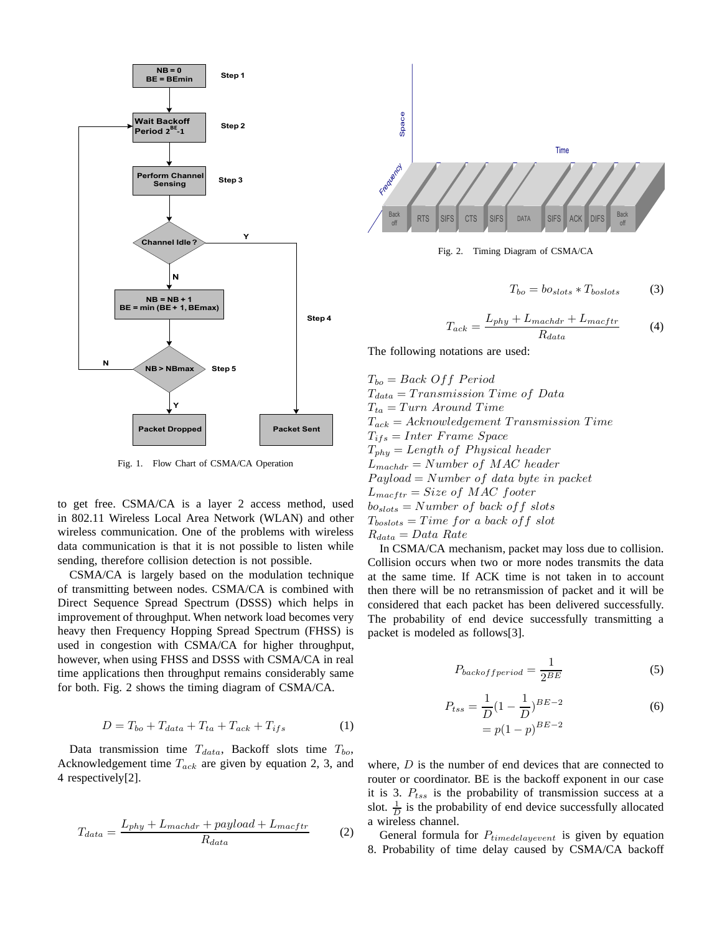

Fig. 1. Flow Chart of CSMA/CA Operation

to get free. CSMA/CA is a layer 2 access method, used in 802.11 Wireless Local Area Network (WLAN) and other wireless communication. One of the problems with wireless data communication is that it is not possible to listen while sending, therefore collision detection is not possible.

CSMA/CA is largely based on the modulation technique of transmitting between nodes. CSMA/CA is combined with Direct Sequence Spread Spectrum (DSSS) which helps in improvement of throughput. When network load becomes very heavy then Frequency Hopping Spread Spectrum (FHSS) is used in congestion with CSMA/CA for higher throughput, however, when using FHSS and DSSS with CSMA/CA in real time applications then throughput remains considerably same for both. Fig. 2 shows the timing diagram of CSMA/CA.

$$
D = T_{bo} + T_{data} + T_{ta} + T_{ack} + T_{ifs}
$$
 (1)

Data transmission time  $T_{data}$ , Backoff slots time  $T_{bo}$ , Acknowledgement time  $T_{ack}$  are given by equation 2, 3, and 4 respectively[2].

$$
T_{data} = \frac{L_{phy} + L_{machdr} + payload + L_{macftr}}{R_{data}} \tag{2}
$$



Fig. 2. Timing Diagram of CSMA/CA

$$
T_{bo} = b o_{slots} * T_{bos lots} \tag{3}
$$

$$
T_{ack} = \frac{L_{phy} + L_{machdr} + L_{macftr}}{R_{data}} \tag{4}
$$

The following notations are used:

 $T_{bo} = Back\;Off\; Period$  $T_{data} = Transmission$  Time of Data  $T_{ta} = Turn \ Around \ Time$  $T_{ack} = Acknowledgement$  Transmission Time  $T_{ifs} = Inter$  Frame Space  $T_{phy} = Length \ of \ Physical \ header$  $L_{machdr} = Number of MAC header$  $Payload = Number of data byte in packet$  $L_{mac ftr} = Size\ of\ MAC\ foster$  $b_{0slots} = Number of back off slots$  $T_{\text{books}} = Time \ for \ a \ back \ off \ slot$  $R_{data} = Data Rate$ 

In CSMA/CA mechanism, packet may loss due to collision. Collision occurs when two or more nodes transmits the data at the same time. If ACK time is not taken in to account then there will be no retransmission of packet and it will be considered that each packet has been delivered successfully. The probability of end device successfully transmitting a packet is modeled as follows[3].

$$
P_{backoffperiod} = \frac{1}{2^{BE}} \tag{5}
$$

$$
P_{tss} = \frac{1}{D} (1 - \frac{1}{D})^{BE-2}
$$
  
=  $p(1-p)^{BE-2}$  (6)

where, D is the number of end devices that are connected to router or coordinator. BE is the backoff exponent in our case it is 3.  $P_{tss}$  is the probability of transmission success at a slot.  $\frac{1}{D}$  is the probability of end device successfully allocated a wireless channel.

General formula for  $P_{timedelay event}$  is given by equation 8. Probability of time delay caused by CSMA/CA backoff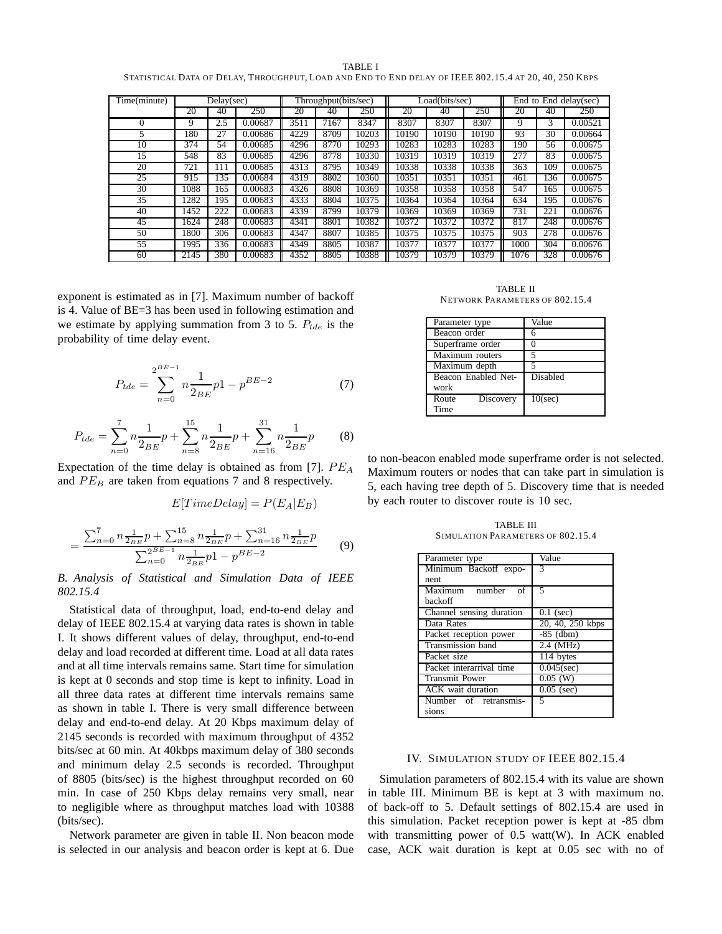TABLE I

STATISTICAL DATA OF DELAY, THROUGHPUT, LOAD AND END TO END DELAY OF IEEE 802.15.4 AT 20, 40, 250 KBPS

| Time(minute) | Delay(sec) |     |         | Throughput(bits/sec) |      |       | Load(bits/sec) |       |       | End to End delay(sec) |     |         |
|--------------|------------|-----|---------|----------------------|------|-------|----------------|-------|-------|-----------------------|-----|---------|
|              | 20         | 40  | 250     | 20                   | 40   | 250   | 20             | 40    | 250   | 20                    | 40  | 250     |
| 0            | 9          | 2.5 | 0.00687 | 3511                 | 7167 | 8347  | 8307           | 8307  | 8307  | 9                     | 3   | 0.00521 |
|              | 180        | 27  | 0.00686 | 4229                 | 8709 | 10203 | 10190          | 10190 | 10190 | 93                    | 30  | 0.00664 |
| 10           | 374        | 54  | 0.00685 | 4296                 | 8770 | 10293 | 10283          | 10283 | 10283 | 190                   | 56  | 0.00675 |
| 15           | 548        | 83  | 0.00685 | 4296                 | 8778 | 10330 | 10319          | 10319 | 10319 | 277                   | 83  | 0.00675 |
| 20           | 721        | 111 | 0.00685 | 4313                 | 8795 | 10349 | 10338          | 10338 | 10338 | 363                   | 109 | 0.00675 |
| 25           | 915        | 135 | 0.00684 | 4319                 | 8802 | 10360 | 10351          | 10351 | 10351 | 461                   | 136 | 0.00675 |
| 30           | 1088       | 165 | 0.00683 | 4326                 | 8808 | 10369 | 10358          | 10358 | 10358 | 547                   | 165 | 0.00675 |
| 35           | 1282       | 195 | 0.00683 | 4333                 | 8804 | 10375 | 10364          | 10364 | 10364 | 634                   | 195 | 0.00676 |
| 40           | 1452       | 222 | 0.00683 | 4339                 | 8799 | 10379 | 10369          | 10369 | 10369 | 731                   | 221 | 0.00676 |
| 45           | 1624       | 248 | 0.00683 | 4341                 | 8801 | 10382 | 10372          | 10372 | 10372 | 817                   | 248 | 0.00676 |
| 50           | 1800       | 306 | 0.00683 | 4347                 | 8807 | 10385 | 10375          | 10375 | 10375 | 903                   | 278 | 0.00676 |
| 55           | 1995       | 336 | 0.00683 | 4349                 | 8805 | 10387 | 10377          | 10377 | 10377 | 1000                  | 304 | 0.00676 |
| 60           | 2145       | 380 | 0.00683 | 4352                 | 8805 | 10388 | 10379          | 10379 | 10379 | 1076                  | 328 | 0.00676 |

exponent is estimated as in [7]. Maximum number of backoff is 4. Value of BE=3 has been used in following estimation and we estimate by applying summation from 3 to 5.  $P_{tde}$  is the probability of time delay event.

$$
P_{tde} = \sum_{n=0}^{2^{BE-1}} n \frac{1}{2_{BE}} p1 - p^{BE-2}
$$
 (7)

$$
P_{tde} = \sum_{n=0}^{7} n \frac{1}{2_{BE}} p + \sum_{n=8}^{15} n \frac{1}{2_{BE}} p + \sum_{n=16}^{31} n \frac{1}{2_{BE}} p \qquad (8)
$$

Expectation of the time delay is obtained as from [7].  $PE_A$ and  $PE<sub>B</sub>$  are taken from equations 7 and 8 respectively.

$$
E[TimeDelay] = P(E_A|E_B)
$$

$$
\frac{\sum_{n=0}^{7} n \frac{1}{2_{BE}} p + \sum_{n=8}^{15} n \frac{1}{2_{BE}} p + \sum_{n=16}^{31} n \frac{1}{2_{BE}} p}{\sum_{n=0}^{2^{BE}-1} n \frac{1}{2_{BE}} p1 - p^{BE-2}}
$$
(9)

## *B. Analysis of Statistical and Simulation Data of IEEE 802.15.4*

=

Statistical data of throughput, load, end-to-end delay and delay of IEEE 802.15.4 at varying data rates is shown in table I. It shows different values of delay, throughput, end-to-end delay and load recorded at different time. Load at all data rates and at all time intervals remains same. Start time for simulation is kept at 0 seconds and stop time is kept to infinity. Load in all three data rates at different time intervals remains same as shown in table I. There is very small difference between delay and end-to-end delay. At 20 Kbps maximum delay of 2145 seconds is recorded with maximum throughput of 4352 bits/sec at 60 min. At 40kbps maximum delay of 380 seconds and minimum delay 2.5 seconds is recorded. Throughput of 8805 (bits/sec) is the highest throughput recorded on 60 min. In case of 250 Kbps delay remains very small, near to negligible where as throughput matches load with 10388 (bits/sec).

Network parameter are given in table II. Non beacon mode is selected in our analysis and beacon order is kept at 6. Due

TABLE II NETWORK PARAMETERS OF 802.15.4

| Parameter type      | Value                    |  |  |  |  |
|---------------------|--------------------------|--|--|--|--|
| Beacon order        |                          |  |  |  |  |
| Superframe order    |                          |  |  |  |  |
| Maximum routers     | 5                        |  |  |  |  |
| Maximum depth       | $\overline{\phantom{1}}$ |  |  |  |  |
| Beacon Enabled Net- | <b>Disabled</b>          |  |  |  |  |
| work                |                          |  |  |  |  |
| Route<br>Discovery  | $10$ (sec)               |  |  |  |  |
| Time                |                          |  |  |  |  |

to non-beacon enabled mode superframe order is not selected. Maximum routers or nodes that can take part in simulation is 5, each having tree depth of 5. Discovery time that is needed by each router to discover route is 10 sec.

TABLE III SIMULATION PARAMETERS OF 802.15.4

| Parameter type           | Value                   |  |  |  |  |
|--------------------------|-------------------------|--|--|--|--|
| Minimum Backoff expo-    | 3                       |  |  |  |  |
| nent                     |                         |  |  |  |  |
| Maximum number<br>of     | 5                       |  |  |  |  |
| backoff                  |                         |  |  |  |  |
| Channel sensing duration | $0.1$ (sec)             |  |  |  |  |
| Data Rates               | 20, 40, 250 kbps        |  |  |  |  |
| Packet reception power   | $-85$ (dbm)             |  |  |  |  |
| Transmission band        | $2.4 \overline{(MHz)}$  |  |  |  |  |
| Packet size              | 114 bytes               |  |  |  |  |
| Packet interarrival time | $0.045$ (sec)           |  |  |  |  |
| <b>Transmit Power</b>    | $0.05$ (W)              |  |  |  |  |
| <b>ACK</b> wait duration | $\overline{0.05}$ (sec) |  |  |  |  |
| Number of retransmis-    | 5                       |  |  |  |  |
| sions                    |                         |  |  |  |  |

## IV. SIMULATION STUDY OF IEEE 802.15.4

Simulation parameters of 802.15.4 with its value are shown in table III. Minimum BE is kept at 3 with maximum no. of back-off to 5. Default settings of 802.15.4 are used in this simulation. Packet reception power is kept at -85 dbm with transmitting power of 0.5 watt(W). In ACK enabled case, ACK wait duration is kept at 0.05 sec with no of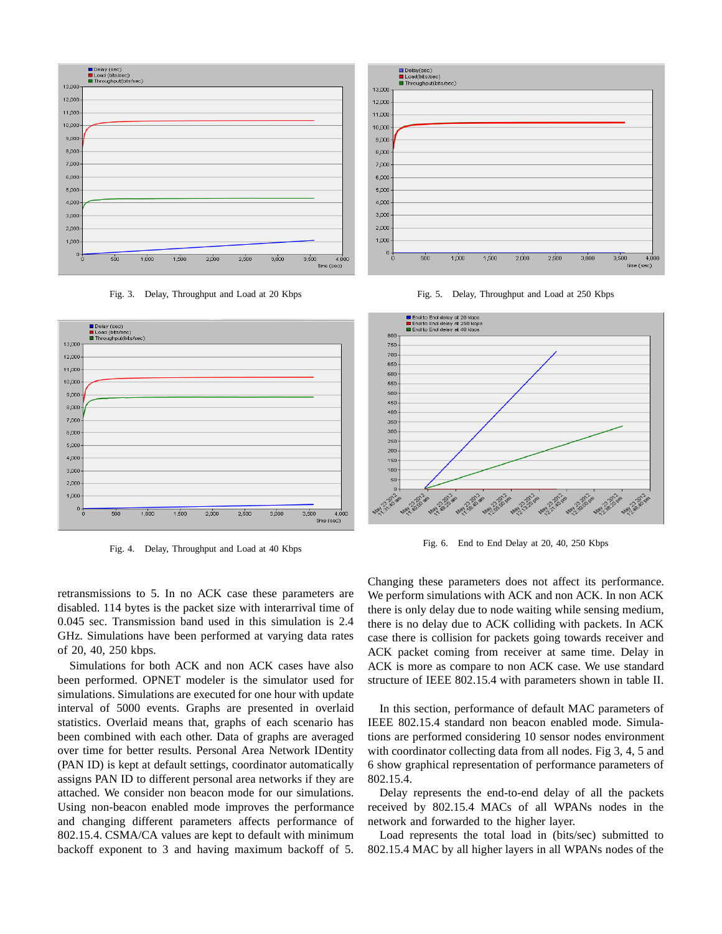

Fig. 3. Delay, Throughput and Load at 20 Kbps



Fig. 4. Delay, Throughput and Load at 40 Kbps





Fig. 6. End to End Delay at 20, 40, 250 Kbps

retransmissions to 5. In no ACK case these parameters are disabled. 114 bytes is the packet size with interarrival time of 0.045 sec. Transmission band used in this simulation is 2.4 GHz. Simulations have been performed at varying data rates of 20, 40, 250 kbps.

Simulations for both ACK and non ACK cases have also been performed. OPNET modeler is the simulator used for simulations. Simulations are executed for one hour with update interval of 5000 events. Graphs are presented in overlaid statistics. Overlaid means that, graphs of each scenario has been combined with each other. Data of graphs are averaged over time for better results. Personal Area Network IDentity (PAN ID) is kept at default settings, coordinator automatically assigns PAN ID to different personal area networks if they are attached. We consider non beacon mode for our simulations. Using non-beacon enabled mode improves the performance and changing different parameters affects performance of 802.15.4. CSMA/CA values are kept to default with minimum backoff exponent to 3 and having maximum backoff of 5.

Changing these parameters does not affect its performance. We perform simulations with ACK and non ACK. In non ACK there is only delay due to node waiting while sensing medium, there is no delay due to ACK colliding with packets. In ACK case there is collision for packets going towards receiver and ACK packet coming from receiver at same time. Delay in ACK is more as compare to non ACK case. We use standard structure of IEEE 802.15.4 with parameters shown in table II.

In this section, performance of default MAC parameters of IEEE 802.15.4 standard non beacon enabled mode. Simulations are performed considering 10 sensor nodes environment with coordinator collecting data from all nodes. Fig 3, 4, 5 and 6 show graphical representation of performance parameters of 802.15.4.

Delay represents the end-to-end delay of all the packets received by 802.15.4 MACs of all WPANs nodes in the network and forwarded to the higher layer.

Load represents the total load in (bits/sec) submitted to 802.15.4 MAC by all higher layers in all WPANs nodes of the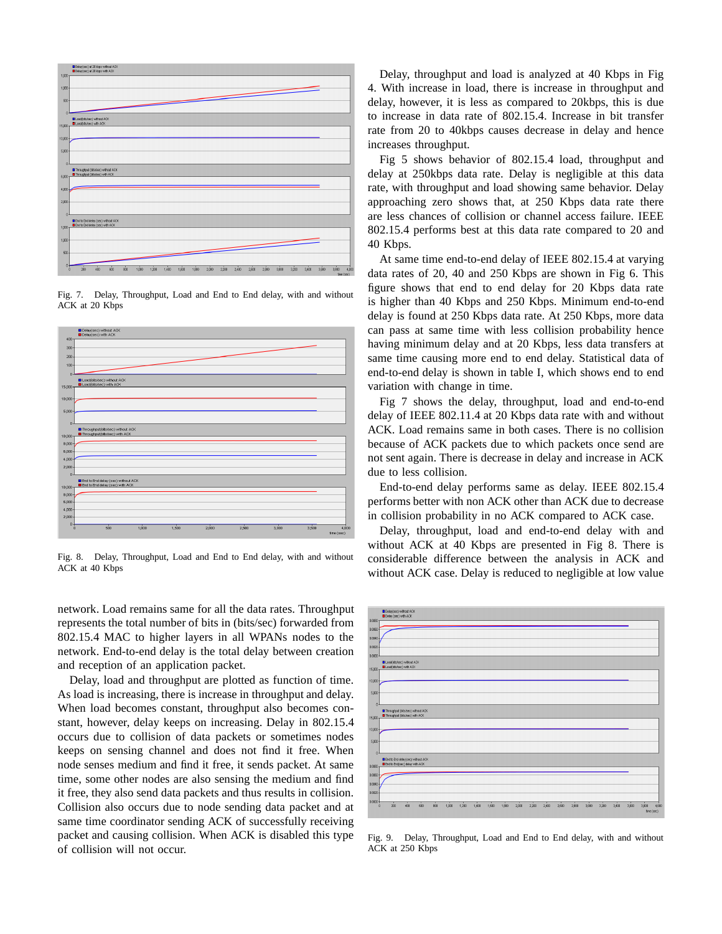

Fig. 7. Delay, Throughput, Load and End to End delay, with and without ACK at 20 Kbps



Fig. 8. Delay, Throughput, Load and End to End delay, with and without ACK at 40 Kbps

network. Load remains same for all the data rates. Throughput represents the total number of bits in (bits/sec) forwarded from 802.15.4 MAC to higher layers in all WPANs nodes to the network. End-to-end delay is the total delay between creation and reception of an application packet.

Delay, load and throughput are plotted as function of time. As load is increasing, there is increase in throughput and delay. When load becomes constant, throughput also becomes constant, however, delay keeps on increasing. Delay in 802.15.4 occurs due to collision of data packets or sometimes nodes keeps on sensing channel and does not find it free. When node senses medium and find it free, it sends packet. At same time, some other nodes are also sensing the medium and find it free, they also send data packets and thus results in collision. Collision also occurs due to node sending data packet and at same time coordinator sending ACK of successfully receiving packet and causing collision. When ACK is disabled this type of collision will not occur.

Delay, throughput and load is analyzed at 40 Kbps in Fig 4. With increase in load, there is increase in throughput and delay, however, it is less as compared to 20kbps, this is due to increase in data rate of 802.15.4. Increase in bit transfer rate from 20 to 40kbps causes decrease in delay and hence increases throughput.

Fig 5 shows behavior of 802.15.4 load, throughput and delay at 250kbps data rate. Delay is negligible at this data rate, with throughput and load showing same behavior. Delay approaching zero shows that, at 250 Kbps data rate there are less chances of collision or channel access failure. IEEE 802.15.4 performs best at this data rate compared to 20 and 40 Kbps.

At same time end-to-end delay of IEEE 802.15.4 at varying data rates of 20, 40 and 250 Kbps are shown in Fig 6. This figure shows that end to end delay for 20 Kbps data rate is higher than 40 Kbps and 250 Kbps. Minimum end-to-end delay is found at 250 Kbps data rate. At 250 Kbps, more data can pass at same time with less collision probability hence having minimum delay and at 20 Kbps, less data transfers at same time causing more end to end delay. Statistical data of end-to-end delay is shown in table I, which shows end to end variation with change in time.

Fig 7 shows the delay, throughput, load and end-to-end delay of IEEE 802.11.4 at 20 Kbps data rate with and without ACK. Load remains same in both cases. There is no collision because of ACK packets due to which packets once send are not sent again. There is decrease in delay and increase in ACK due to less collision.

End-to-end delay performs same as delay. IEEE 802.15.4 performs better with non ACK other than ACK due to decrease in collision probability in no ACK compared to ACK case.

Delay, throughput, load and end-to-end delay with and without ACK at 40 Kbps are presented in Fig 8. There is considerable difference between the analysis in ACK and without ACK case. Delay is reduced to negligible at low value



Fig. 9. Delay, Throughput, Load and End to End delay, with and without ACK at 250 Kbps